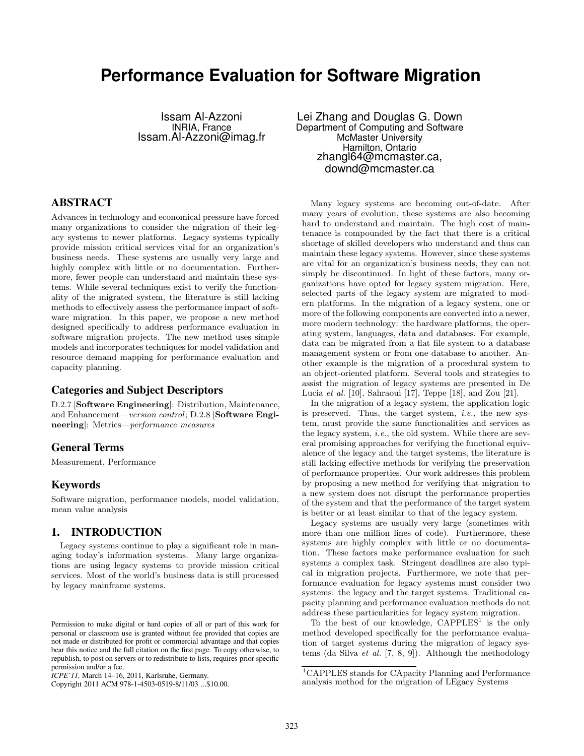# **Performance Evaluation for Software Migration**

Issam Al-Azzoni INRIA, France Issam.Al-Azzoni@imag.fr

# **ABSTRACT**

Advances in technology and economical pressure have forced many organizations to consider the migration of their legacy systems to newer platforms. Legacy systems typically provide mission critical services vital for an organization's business needs. These systems are usually very large and highly complex with little or no documentation. Furthermore, fewer people can understand and maintain these systems. While several techniques exist to verify the functionality of the migrated system, the literature is still lacking methods to effectively assess the performance impact of software migration. In this paper, we propose a new method designed specifically to address performance evaluation in software migration projects. The new method uses simple models and incorporates techniques for model validation and resource demand mapping for performance evaluation and capacity planning.

#### Categories and Subject Descriptors

D.2.7 [**Software Engineering**]: Distribution, Maintenance, and Enhancement—*version control*; D.2.8 [**Software Engineering**]: Metrics—*performance measures*

#### General Terms

Measurement, Performance

#### Keywords

Software migration, performance models, model validation, mean value analysis

# 1. INTRODUCTION

Legacy systems continue to play a significant role in managing today's information systems. Many large organizations are using legacy systems to provide mission critical services. Most of the world's business data is still processed by legacy mainframe systems.

Lei Zhang and Douglas G. Down Department of Computing and Software McMaster University Hamilton, Ontario zhangl64@mcmaster.ca, downd@mcmaster.ca

Many legacy systems are becoming out-of-date. After many years of evolution, these systems are also becoming hard to understand and maintain. The high cost of maintenance is compounded by the fact that there is a critical shortage of skilled developers who understand and thus can maintain these legacy systems. However, since these systems are vital for an organization's business needs, they can not simply be discontinued. In light of these factors, many organizations have opted for legacy system migration. Here, selected parts of the legacy system are migrated to modern platforms. In the migration of a legacy system, one or more of the following components are converted into a newer, more modern technology: the hardware platforms, the operating system, languages, data and databases. For example, data can be migrated from a flat file system to a database management system or from one database to another. Another example is the migration of a procedural system to an object-oriented platform. Several tools and strategies to assist the migration of legacy systems are presented in De Lucia *et al.* [10], Sahraoui [17], Teppe [18], and Zou [21].

In the migration of a legacy system, the application logic is preserved. Thus, the target system, *i.e.*, the new system, must provide the same functionalities and services as the legacy system, *i.e.*, the old system. While there are several promising approaches for verifying the functional equivalence of the legacy and the target systems, the literature is still lacking effective methods for verifying the preservation of performance properties. Our work addresses this problem by proposing a new method for verifying that migration to a new system does not disrupt the performance properties of the system and that the performance of the target system is better or at least similar to that of the legacy system.

Legacy systems are usually very large (sometimes with more than one million lines of code). Furthermore, these systems are highly complex with little or no documentation. These factors make performance evaluation for such systems a complex task. Stringent deadlines are also typical in migration projects. Furthermore, we note that performance evaluation for legacy systems must consider two systems: the legacy and the target systems. Traditional capacity planning and performance evaluation methods do not address these particularities for legacy system migration.

To the best of our knowledge,  $CAPPLES<sup>1</sup>$  is the only method developed specifically for the performance evaluation of target systems during the migration of legacy systems (da Silva *et al.* [7, 8, 9]). Although the methodology

Permission to make digital or hard copies of all or part of this work for personal or classroom use is granted without fee provided that copies are not made or distributed for profit or commercial advantage and that copies bear this notice and the full citation on the first page. To copy otherwise, to republish, to post on servers or to redistribute to lists, requires prior specific permission and/or a fee.

*ICPE'11,* March 14–16, 2011, Karlsruhe, Germany.

Copyright 2011 ACM 978-1-4503-0519-8/11/03 ...\$10.00.

<sup>1</sup>CAPPLES stands for CApacity Planning and Performance analysis method for the migration of LEgacy Systems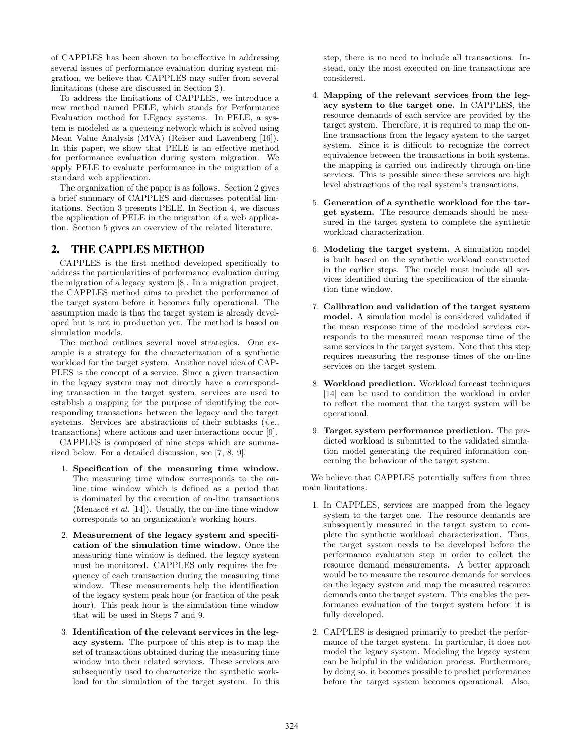of CAPPLES has been shown to be effective in addressing several issues of performance evaluation during system migration, we believe that CAPPLES may suffer from several limitations (these are discussed in Section 2).

To address the limitations of CAPPLES, we introduce a new method named PELE, which stands for Performance Evaluation method for LEgacy systems. In PELE, a system is modeled as a queueing network which is solved using Mean Value Analysis (MVA) (Reiser and Lavenberg [16]). In this paper, we show that PELE is an effective method for performance evaluation during system migration. We apply PELE to evaluate performance in the migration of a standard web application.

The organization of the paper is as follows. Section 2 gives a brief summary of CAPPLES and discusses potential limitations. Section 3 presents PELE. In Section 4, we discuss the application of PELE in the migration of a web application. Section 5 gives an overview of the related literature.

## 2. THE CAPPLES METHOD

CAPPLES is the first method developed specifically to address the particularities of performance evaluation during the migration of a legacy system [8]. In a migration project, the CAPPLES method aims to predict the performance of the target system before it becomes fully operational. The assumption made is that the target system is already developed but is not in production yet. The method is based on simulation models.

The method outlines several novel strategies. One example is a strategy for the characterization of a synthetic workload for the target system. Another novel idea of CAP-PLES is the concept of a service. Since a given transaction in the legacy system may not directly have a corresponding transaction in the target system, services are used to establish a mapping for the purpose of identifying the corresponding transactions between the legacy and the target systems. Services are abstractions of their subtasks (*i.e.*, transactions) where actions and user interactions occur [9].

CAPPLES is composed of nine steps which are summarized below. For a detailed discussion, see [7, 8, 9].

- 1. **Specification of the measuring time window.** The measuring time window corresponds to the online time window which is defined as a period that is dominated by the execution of on-line transactions (Menascé *et al.* [14]). Usually, the on-line time window corresponds to an organization's working hours.
- 2. **Measurement of the legacy system and specification of the simulation time window.** Once the measuring time window is defined, the legacy system must be monitored. CAPPLES only requires the frequency of each transaction during the measuring time window. These measurements help the identification of the legacy system peak hour (or fraction of the peak hour). This peak hour is the simulation time window that will be used in Steps 7 and 9.
- 3. **Identification of the relevant services in the legacy system.** The purpose of this step is to map the set of transactions obtained during the measuring time window into their related services. These services are subsequently used to characterize the synthetic workload for the simulation of the target system. In this

step, there is no need to include all transactions. Instead, only the most executed on-line transactions are considered.

- 4. **Mapping of the relevant services from the legacy system to the target one.** In CAPPLES, the resource demands of each service are provided by the target system. Therefore, it is required to map the online transactions from the legacy system to the target system. Since it is difficult to recognize the correct equivalence between the transactions in both systems, the mapping is carried out indirectly through on-line services. This is possible since these services are high level abstractions of the real system's transactions.
- 5. **Generation of a synthetic workload for the target system.** The resource demands should be measured in the target system to complete the synthetic workload characterization.
- 6. **Modeling the target system.** A simulation model is built based on the synthetic workload constructed in the earlier steps. The model must include all services identified during the specification of the simulation time window.
- 7. **Calibration and validation of the target system model.** A simulation model is considered validated if the mean response time of the modeled services corresponds to the measured mean response time of the same services in the target system. Note that this step requires measuring the response times of the on-line services on the target system.
- 8. **Workload prediction.** Workload forecast techniques [14] can be used to condition the workload in order to reflect the moment that the target system will be operational.
- 9. **Target system performance prediction.** The predicted workload is submitted to the validated simulation model generating the required information concerning the behaviour of the target system.

We believe that CAPPLES potentially suffers from three main limitations:

- 1. In CAPPLES, services are mapped from the legacy system to the target one. The resource demands are subsequently measured in the target system to complete the synthetic workload characterization. Thus, the target system needs to be developed before the performance evaluation step in order to collect the resource demand measurements. A better approach would be to measure the resource demands for services on the legacy system and map the measured resource demands onto the target system. This enables the performance evaluation of the target system before it is fully developed.
- 2. CAPPLES is designed primarily to predict the performance of the target system. In particular, it does not model the legacy system. Modeling the legacy system can be helpful in the validation process. Furthermore, by doing so, it becomes possible to predict performance before the target system becomes operational. Also,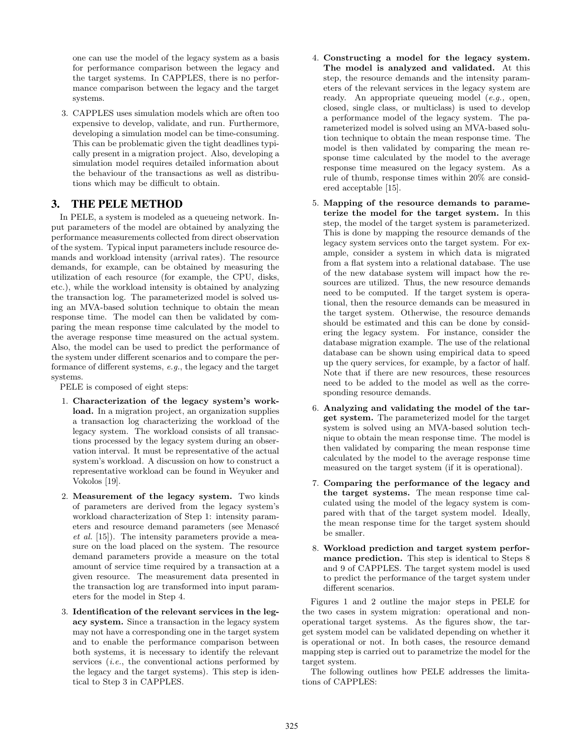one can use the model of the legacy system as a basis for performance comparison between the legacy and the target systems. In CAPPLES, there is no performance comparison between the legacy and the target systems.

3. CAPPLES uses simulation models which are often too expensive to develop, validate, and run. Furthermore, developing a simulation model can be time-consuming. This can be problematic given the tight deadlines typically present in a migration project. Also, developing a simulation model requires detailed information about the behaviour of the transactions as well as distributions which may be difficult to obtain.

## 3. THE PELE METHOD

In PELE, a system is modeled as a queueing network. Input parameters of the model are obtained by analyzing the performance measurements collected from direct observation of the system. Typical input parameters include resource demands and workload intensity (arrival rates). The resource demands, for example, can be obtained by measuring the utilization of each resource (for example, the CPU, disks, etc.), while the workload intensity is obtained by analyzing the transaction log. The parameterized model is solved using an MVA-based solution technique to obtain the mean response time. The model can then be validated by comparing the mean response time calculated by the model to the average response time measured on the actual system. Also, the model can be used to predict the performance of the system under different scenarios and to compare the performance of different systems, *e.g.*, the legacy and the target systems.

PELE is composed of eight steps:

- 1. **Characterization of the legacy system's workload.** In a migration project, an organization supplies a transaction log characterizing the workload of the legacy system. The workload consists of all transactions processed by the legacy system during an observation interval. It must be representative of the actual system's workload. A discussion on how to construct a representative workload can be found in Weyuker and Vokolos [19].
- 2. **Measurement of the legacy system.** Two kinds of parameters are derived from the legacy system's workload characterization of Step 1: intensity parameters and resource demand parameters (see Menascé *et al.* [15]). The intensity parameters provide a measure on the load placed on the system. The resource demand parameters provide a measure on the total amount of service time required by a transaction at a given resource. The measurement data presented in the transaction log are transformed into input parameters for the model in Step 4.
- 3. **Identification of the relevant services in the legacy system.** Since a transaction in the legacy system may not have a corresponding one in the target system and to enable the performance comparison between both systems, it is necessary to identify the relevant services (*i.e.*, the conventional actions performed by the legacy and the target systems). This step is identical to Step 3 in CAPPLES.
- 4. **Constructing a model for the legacy system. The model is analyzed and validated.** At this step, the resource demands and the intensity parameters of the relevant services in the legacy system are ready. An appropriate queueing model (*e.g.,* open, closed, single class, or multiclass) is used to develop a performance model of the legacy system. The parameterized model is solved using an MVA-based solution technique to obtain the mean response time. The model is then validated by comparing the mean response time calculated by the model to the average response time measured on the legacy system. As a rule of thumb, response times within 20% are considered acceptable [15].
- 5. **Mapping of the resource demands to parameterize the model for the target system.** In this step, the model of the target system is parameterized. This is done by mapping the resource demands of the legacy system services onto the target system. For example, consider a system in which data is migrated from a flat system into a relational database. The use of the new database system will impact how the resources are utilized. Thus, the new resource demands need to be computed. If the target system is operational, then the resource demands can be measured in the target system. Otherwise, the resource demands should be estimated and this can be done by considering the legacy system. For instance, consider the database migration example. The use of the relational database can be shown using empirical data to speed up the query services, for example, by a factor of half. Note that if there are new resources, these resources need to be added to the model as well as the corresponding resource demands.
- 6. **Analyzing and validating the model of the target system.** The parameterized model for the target system is solved using an MVA-based solution technique to obtain the mean response time. The model is then validated by comparing the mean response time calculated by the model to the average response time measured on the target system (if it is operational).
- 7. **Comparing the performance of the legacy and the target systems.** The mean response time calculated using the model of the legacy system is compared with that of the target system model. Ideally, the mean response time for the target system should be smaller.
- 8. **Workload prediction and target system performance prediction.** This step is identical to Steps 8 and 9 of CAPPLES. The target system model is used to predict the performance of the target system under different scenarios.

Figures 1 and 2 outline the major steps in PELE for the two cases in system migration: operational and nonoperational target systems. As the figures show, the target system model can be validated depending on whether it is operational or not. In both cases, the resource demand mapping step is carried out to parametrize the model for the target system.

The following outlines how PELE addresses the limitations of CAPPLES: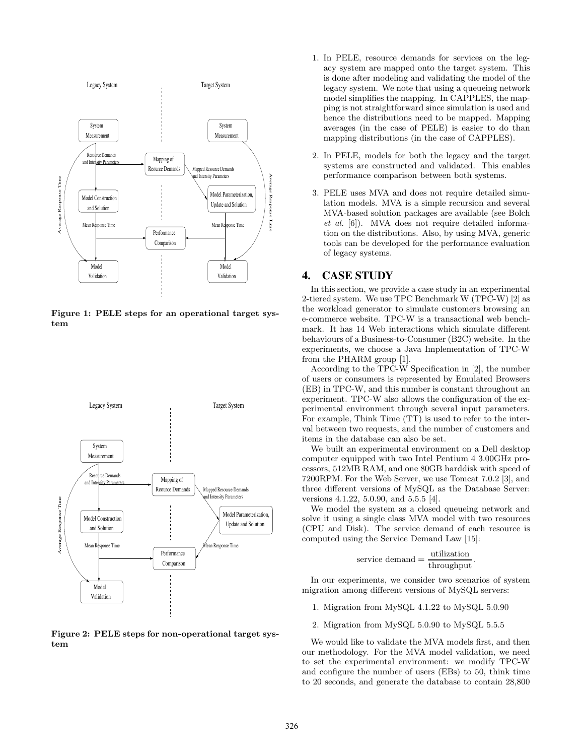

**Figure 1: PELE steps for an operational target system**



**Figure 2: PELE steps for non-operational target system**

- 1. In PELE, resource demands for services on the legacy system are mapped onto the target system. This is done after modeling and validating the model of the legacy system. We note that using a queueing network model simplifies the mapping. In CAPPLES, the mapping is not straightforward since simulation is used and hence the distributions need to be mapped. Mapping averages (in the case of PELE) is easier to do than mapping distributions (in the case of CAPPLES).
- 2. In PELE, models for both the legacy and the target systems are constructed and validated. This enables performance comparison between both systems.
- 3. PELE uses MVA and does not require detailed simulation models. MVA is a simple recursion and several MVA-based solution packages are available (see Bolch *et al.* [6]). MVA does not require detailed information on the distributions. Also, by using MVA, generic tools can be developed for the performance evaluation of legacy systems.

#### 4. CASE STUDY

In this section, we provide a case study in an experimental 2-tiered system. We use TPC Benchmark W (TPC-W) [2] as the workload generator to simulate customers browsing an e-commerce website. TPC-W is a transactional web benchmark. It has 14 Web interactions which simulate different behaviours of a Business-to-Consumer (B2C) website. In the experiments, we choose a Java Implementation of TPC-W from the PHARM group [1].

According to the TPC-W Specification in [2], the number of users or consumers is represented by Emulated Browsers (EB) in TPC-W, and this number is constant throughout an experiment. TPC-W also allows the configuration of the experimental environment through several input parameters. For example, Think Time (TT) is used to refer to the interval between two requests, and the number of customers and items in the database can also be set.

We built an experimental environment on a Dell desktop computer equipped with two Intel Pentium 4 3.00GHz processors, 512MB RAM, and one 80GB harddisk with speed of 7200RPM. For the Web Server, we use Tomcat 7.0.2 [3], and three different versions of MySQL as the Database Server: versions 4.1.22, 5.0.90, and 5.5.5 [4].

We model the system as a closed queueing network and solve it using a single class MVA model with two resources (CPU and Disk). The service demand of each resource is computed using the Service Demand Law [15]:

$$
service demand = \frac{utilization}{throughput}.
$$

In our experiments, we consider two scenarios of system migration among different versions of MySQL servers:

1. Migration from MySQL 4.1.22 to MySQL 5.0.90

2. Migration from MySQL 5.0.90 to MySQL 5.5.5

We would like to validate the MVA models first, and then our methodology. For the MVA model validation, we need to set the experimental environment: we modify TPC-W and configure the number of users (EBs) to 50, think time to 20 seconds, and generate the database to contain 28,800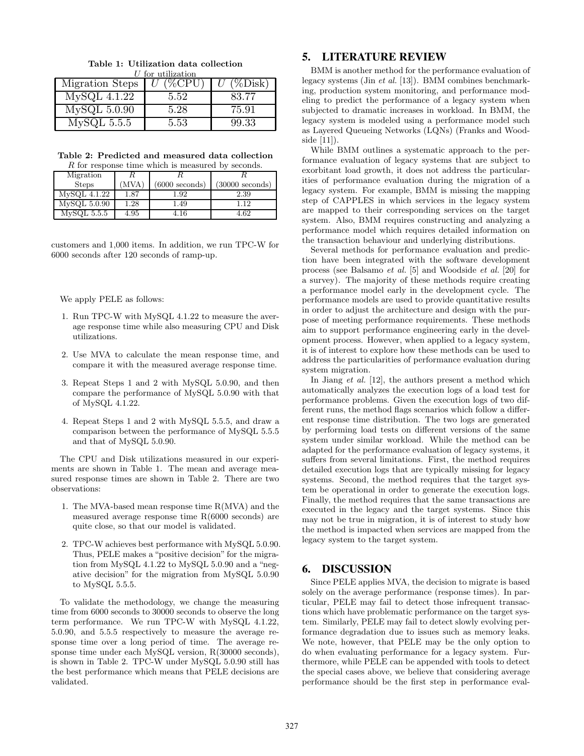| for utilization |        |                        |  |
|-----------------|--------|------------------------|--|
| Migration Steps | '%CPU` | $\overline{U}$ (%Disk) |  |
| MySQL 4.1.22    | 5.52   | 83.77                  |  |
| MySQL 5.0.90    | 5.28   | 75.91                  |  |
| MySQL 5.5.5     | 5.53   | 99.33                  |  |

**Table 1: Utilization data collection**

**Table 2: Predicted and measured data collection** *R* for response time which is measured by seconds.

| It is the response throw willen is incordition by seconds. |      |                  |                   |  |
|------------------------------------------------------------|------|------------------|-------------------|--|
| Migration                                                  |      |                  |                   |  |
| <b>Steps</b>                                               | 'MVA | $(6000$ seconds) | $(30000$ seconds) |  |
| MvSQL 4.1.22                                               | 1.87 | 1.92             | 2.39              |  |
| MySQL 5.0.90                                               | 1.28 | 1.49             | 1.12              |  |
| MySQL 5.5.5                                                | 4.95 | 4.16             | 4.62              |  |

customers and 1,000 items. In addition, we run TPC-W for 6000 seconds after 120 seconds of ramp-up.

We apply PELE as follows:

- 1. Run TPC-W with MySQL 4.1.22 to measure the average response time while also measuring CPU and Disk utilizations.
- 2. Use MVA to calculate the mean response time, and compare it with the measured average response time.
- 3. Repeat Steps 1 and 2 with MySQL 5.0.90, and then compare the performance of MySQL 5.0.90 with that of MySQL 4.1.22.
- 4. Repeat Steps 1 and 2 with MySQL 5.5.5, and draw a comparison between the performance of MySQL 5.5.5 and that of MySQL 5.0.90.

The CPU and Disk utilizations measured in our experiments are shown in Table 1. The mean and average measured response times are shown in Table 2. There are two observations:

- 1. The MVA-based mean response time R(MVA) and the measured average response time R(6000 seconds) are quite close, so that our model is validated.
- 2. TPC-W achieves best performance with MySQL 5.0.90. Thus, PELE makes a "positive decision" for the migration from MySQL 4.1.22 to MySQL 5.0.90 and a "negative decision" for the migration from MySQL 5.0.90 to MySQL 5.5.5.

To validate the methodology, we change the measuring time from 6000 seconds to 30000 seconds to observe the long term performance. We run TPC-W with MySQL 4.1.22, 5.0.90, and 5.5.5 respectively to measure the average response time over a long period of time. The average response time under each MySQL version, R(30000 seconds), is shown in Table 2. TPC-W under MySQL 5.0.90 still has the best performance which means that PELE decisions are validated.

# 5. LITERATURE REVIEW

BMM is another method for the performance evaluation of legacy systems (Jin *et al.* [13]). BMM combines benchmarking, production system monitoring, and performance modeling to predict the performance of a legacy system when subjected to dramatic increases in workload. In BMM, the legacy system is modeled using a performance model such as Layered Queueing Networks (LQNs) (Franks and Woodside [11]).

While BMM outlines a systematic approach to the performance evaluation of legacy systems that are subject to exorbitant load growth, it does not address the particularities of performance evaluation during the migration of a legacy system. For example, BMM is missing the mapping step of CAPPLES in which services in the legacy system are mapped to their corresponding services on the target system. Also, BMM requires constructing and analyzing a performance model which requires detailed information on the transaction behaviour and underlying distributions.

Several methods for performance evaluation and prediction have been integrated with the software development process (see Balsamo *et al.* [5] and Woodside *et al.* [20] for a survey). The majority of these methods require creating a performance model early in the development cycle. The performance models are used to provide quantitative results in order to adjust the architecture and design with the purpose of meeting performance requirements. These methods aim to support performance engineering early in the development process. However, when applied to a legacy system, it is of interest to explore how these methods can be used to address the particularities of performance evaluation during system migration.

In Jiang *et al.* [12], the authors present a method which automatically analyzes the execution logs of a load test for performance problems. Given the execution logs of two different runs, the method flags scenarios which follow a different response time distribution. The two logs are generated by performing load tests on different versions of the same system under similar workload. While the method can be adapted for the performance evaluation of legacy systems, it suffers from several limitations. First, the method requires detailed execution logs that are typically missing for legacy systems. Second, the method requires that the target system be operational in order to generate the execution logs. Finally, the method requires that the same transactions are executed in the legacy and the target systems. Since this may not be true in migration, it is of interest to study how the method is impacted when services are mapped from the legacy system to the target system.

#### 6. DISCUSSION

Since PELE applies MVA, the decision to migrate is based solely on the average performance (response times). In particular, PELE may fail to detect those infrequent transactions which have problematic performance on the target system. Similarly, PELE may fail to detect slowly evolving performance degradation due to issues such as memory leaks. We note, however, that PELE may be the only option to do when evaluating performance for a legacy system. Furthermore, while PELE can be appended with tools to detect the special cases above, we believe that considering average performance should be the first step in performance eval